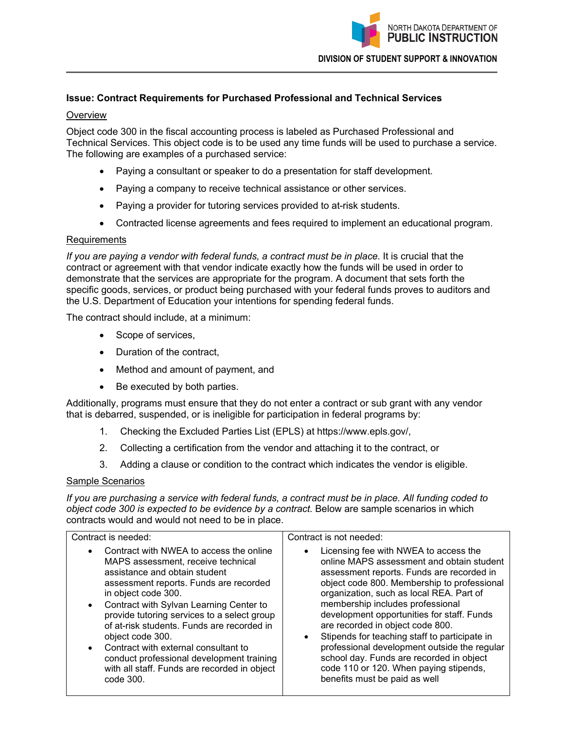

## **Issue: Contract Requirements for Purchased Professional and Technical Services**

#### **Overview**

Object code 300 in the fiscal accounting process is labeled as Purchased Professional and Technical Services. This object code is to be used any time funds will be used to purchase a service. The following are examples of a purchased service:

- Paying a consultant or speaker to do a presentation for staff development.
- Paying a company to receive technical assistance or other services.
- Paying a provider for tutoring services provided to at-risk students.
- Contracted license agreements and fees required to implement an educational program.

### Requirements

*If you are paying a vendor with federal funds, a contract must be in place.* It is crucial that the contract or agreement with that vendor indicate exactly how the funds will be used in order to demonstrate that the services are appropriate for the program. A document that sets forth the specific goods, services, or product being purchased with your federal funds proves to auditors and the U.S. Department of Education your intentions for spending federal funds.

The contract should include, at a minimum:

- Scope of services,
- Duration of the contract,
- Method and amount of payment, and
- Be executed by both parties.

Additionally, programs must ensure that they do not enter a contract or sub grant with any vendor that is debarred, suspended, or is ineligible for participation in federal programs by:

- 1. Checking the Excluded Parties List (EPLS) at https://www.epls.gov/,
- 2. Collecting a certification from the vendor and attaching it to the contract, or
- 3. Adding a clause or condition to the contract which indicates the vendor is eligible.

### Sample Scenarios

*If you are purchasing a service with federal funds, a contract must be in place. All funding coded to object code 300 is expected to be evidence by a contract.* Below are sample scenarios in which contracts would and would not need to be in place.

| Contract is needed:                                                                                                                                                                                                                                                                                                                                                                                                                                                                                                                  | Contract is not needed:                                                                                                                                                                                                                                                                                                                                                                                                                                                                                                                                                                            |
|--------------------------------------------------------------------------------------------------------------------------------------------------------------------------------------------------------------------------------------------------------------------------------------------------------------------------------------------------------------------------------------------------------------------------------------------------------------------------------------------------------------------------------------|----------------------------------------------------------------------------------------------------------------------------------------------------------------------------------------------------------------------------------------------------------------------------------------------------------------------------------------------------------------------------------------------------------------------------------------------------------------------------------------------------------------------------------------------------------------------------------------------------|
| Contract with NWEA to access the online<br>$\bullet$<br>MAPS assessment, receive technical<br>assistance and obtain student<br>assessment reports. Funds are recorded<br>in object code 300.<br>Contract with Sylvan Learning Center to<br>$\bullet$<br>provide tutoring services to a select group<br>of at-risk students. Funds are recorded in<br>object code 300.<br>Contract with external consultant to<br>$\bullet$<br>conduct professional development training<br>with all staff. Funds are recorded in object<br>code 300. | Licensing fee with NWEA to access the<br>$\bullet$<br>online MAPS assessment and obtain student<br>assessment reports. Funds are recorded in<br>object code 800. Membership to professional<br>organization, such as local REA. Part of<br>membership includes professional<br>development opportunities for staff. Funds<br>are recorded in object code 800.<br>Stipends for teaching staff to participate in<br>$\bullet$<br>professional development outside the regular<br>school day. Funds are recorded in object<br>code 110 or 120. When paying stipends,<br>benefits must be paid as well |